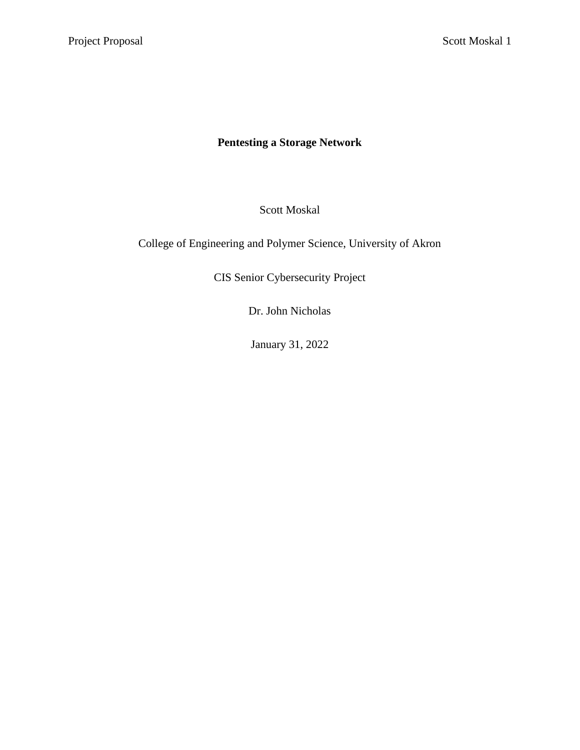# **Pentesting a Storage Network**

Scott Moskal

College of Engineering and Polymer Science, University of Akron

CIS Senior Cybersecurity Project

Dr. John Nicholas

January 31, 2022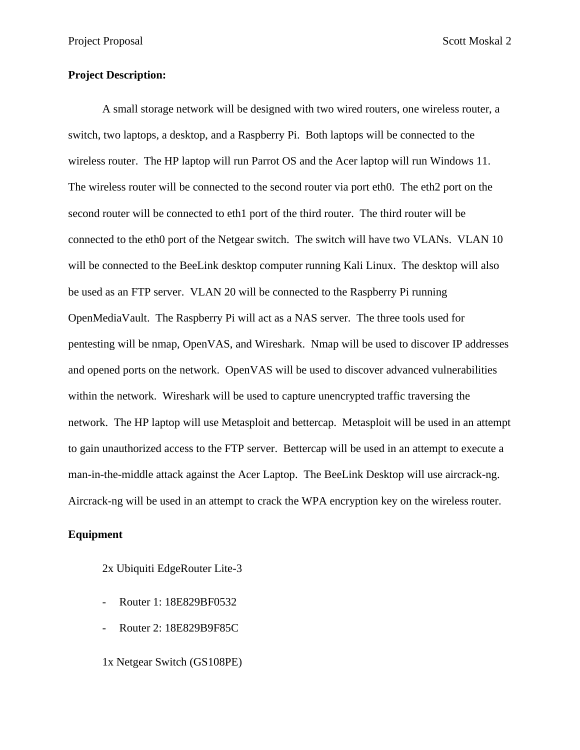# **Project Description:**

A small storage network will be designed with two wired routers, one wireless router, a switch, two laptops, a desktop, and a Raspberry Pi. Both laptops will be connected to the wireless router. The HP laptop will run Parrot OS and the Acer laptop will run Windows 11. The wireless router will be connected to the second router via port eth0. The eth2 port on the second router will be connected to eth1 port of the third router. The third router will be connected to the eth0 port of the Netgear switch. The switch will have two VLANs. VLAN 10 will be connected to the BeeLink desktop computer running Kali Linux. The desktop will also be used as an FTP server. VLAN 20 will be connected to the Raspberry Pi running OpenMediaVault. The Raspberry Pi will act as a NAS server. The three tools used for pentesting will be nmap, OpenVAS, and Wireshark. Nmap will be used to discover IP addresses and opened ports on the network. OpenVAS will be used to discover advanced vulnerabilities within the network. Wireshark will be used to capture unencrypted traffic traversing the network. The HP laptop will use Metasploit and bettercap. Metasploit will be used in an attempt to gain unauthorized access to the FTP server. Bettercap will be used in an attempt to execute a man-in-the-middle attack against the Acer Laptop. The BeeLink Desktop will use aircrack-ng. Aircrack-ng will be used in an attempt to crack the WPA encryption key on the wireless router.

#### **Equipment**

2x Ubiquiti EdgeRouter Lite-3

- Router 1: 18E829BF0532
- Router 2: 18E829B9F85C

1x Netgear Switch (GS108PE)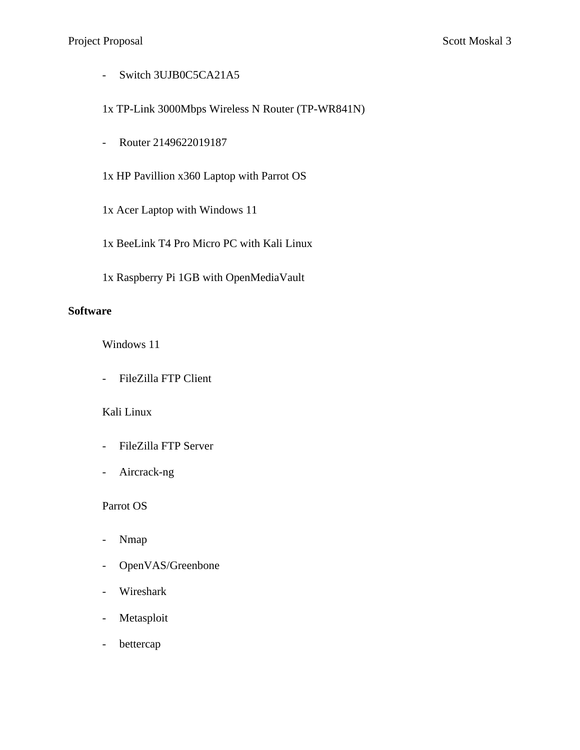- Switch 3UJB0C5CA21A5

1x TP-Link 3000Mbps Wireless N Router (TP-WR841N)

- Router 2149622019187

1x HP Pavillion x360 Laptop with Parrot OS

- 1x Acer Laptop with Windows 11
- 1x BeeLink T4 Pro Micro PC with Kali Linux
- 1x Raspberry Pi 1GB with OpenMediaVault

#### **Software**

Windows 11

- FileZilla FTP Client

# Kali Linux

- FileZilla FTP Server
- Aircrack-ng

Parrot OS

- Nmap
- OpenVAS/Greenbone
- Wireshark
- Metasploit
- bettercap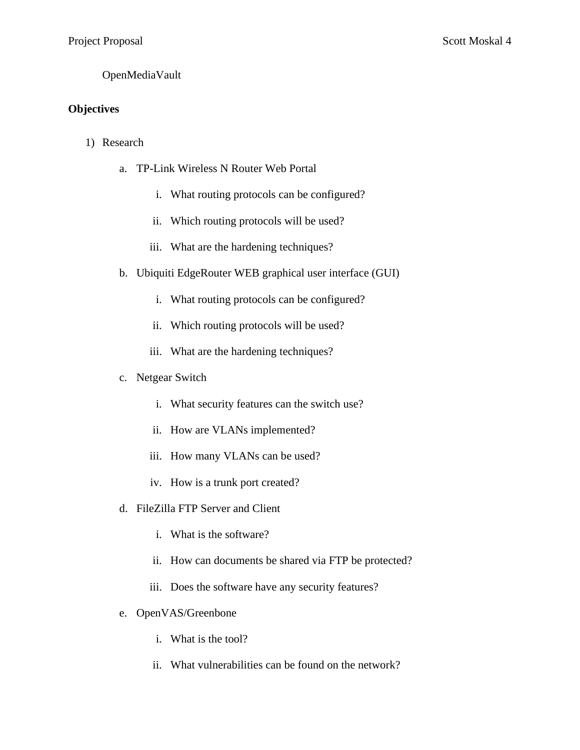# OpenMediaVault

# **Objectives**

- 1) Research
	- a. TP-Link Wireless N Router Web Portal
		- i. What routing protocols can be configured?
		- ii. Which routing protocols will be used?
		- iii. What are the hardening techniques?
	- b. Ubiquiti EdgeRouter WEB graphical user interface (GUI)
		- i. What routing protocols can be configured?
		- ii. Which routing protocols will be used?
		- iii. What are the hardening techniques?

#### c. Netgear Switch

- i. What security features can the switch use?
- ii. How are VLANs implemented?
- iii. How many VLANs can be used?
- iv. How is a trunk port created?
- d. FileZilla FTP Server and Client
	- i. What is the software?
	- ii. How can documents be shared via FTP be protected?
	- iii. Does the software have any security features?
- e. OpenVAS/Greenbone
	- i. What is the tool?
	- ii. What vulnerabilities can be found on the network?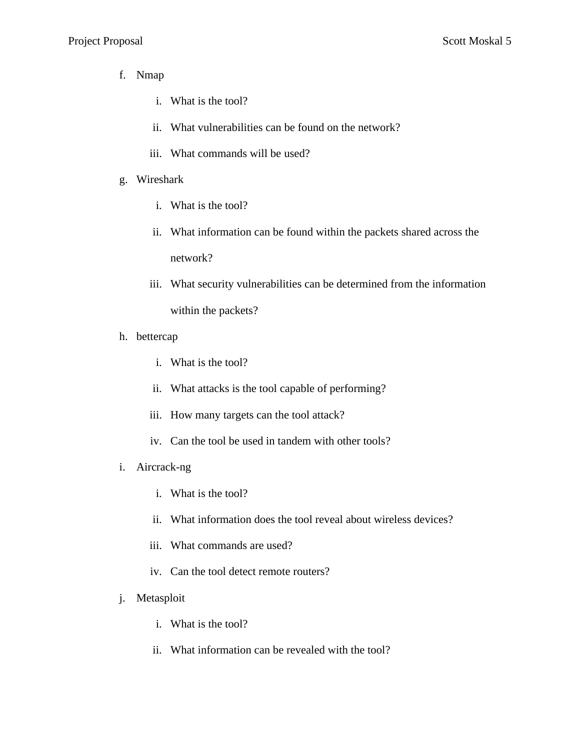- f. Nmap
	- i. What is the tool?
	- ii. What vulnerabilities can be found on the network?
	- iii. What commands will be used?
- g. Wireshark
	- i. What is the tool?
	- ii. What information can be found within the packets shared across the network?
	- iii. What security vulnerabilities can be determined from the information within the packets?
- h. bettercap
	- i. What is the tool?
	- ii. What attacks is the tool capable of performing?
	- iii. How many targets can the tool attack?
	- iv. Can the tool be used in tandem with other tools?
- i. Aircrack-ng
	- i. What is the tool?
	- ii. What information does the tool reveal about wireless devices?
	- iii. What commands are used?
	- iv. Can the tool detect remote routers?
- j. Metasploit
	- i. What is the tool?
	- ii. What information can be revealed with the tool?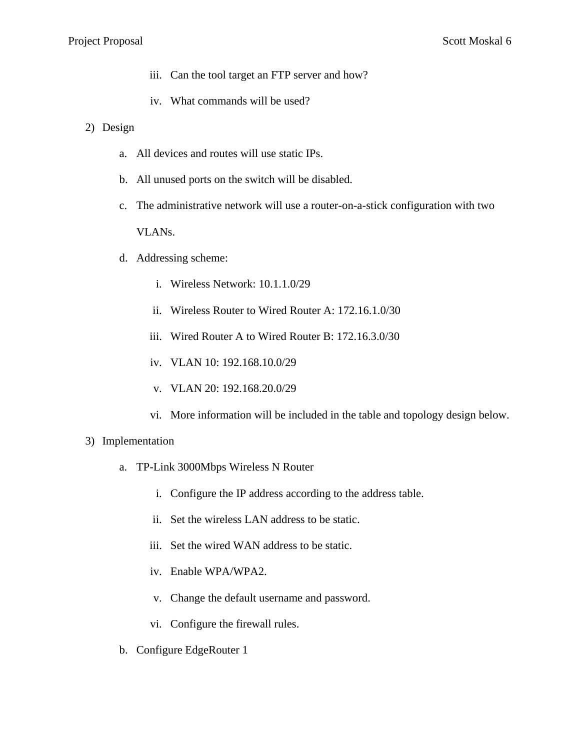- iii. Can the tool target an FTP server and how?
- iv. What commands will be used?
- 2) Design
	- a. All devices and routes will use static IPs.
	- b. All unused ports on the switch will be disabled.
	- c. The administrative network will use a router-on-a-stick configuration with two VLANs.
	- d. Addressing scheme:
		- i. Wireless Network: 10.1.1.0/29
		- ii. Wireless Router to Wired Router A: 172.16.1.0/30
		- iii. Wired Router A to Wired Router B: 172.16.3.0/30
		- iv. VLAN 10: 192.168.10.0/29
		- v. VLAN 20: 192.168.20.0/29
		- vi. More information will be included in the table and topology design below.

#### 3) Implementation

- a. TP-Link 3000Mbps Wireless N Router
	- i. Configure the IP address according to the address table.
	- ii. Set the wireless LAN address to be static.
	- iii. Set the wired WAN address to be static.
	- iv. Enable WPA/WPA2.
	- v. Change the default username and password.
	- vi. Configure the firewall rules.
- b. Configure EdgeRouter 1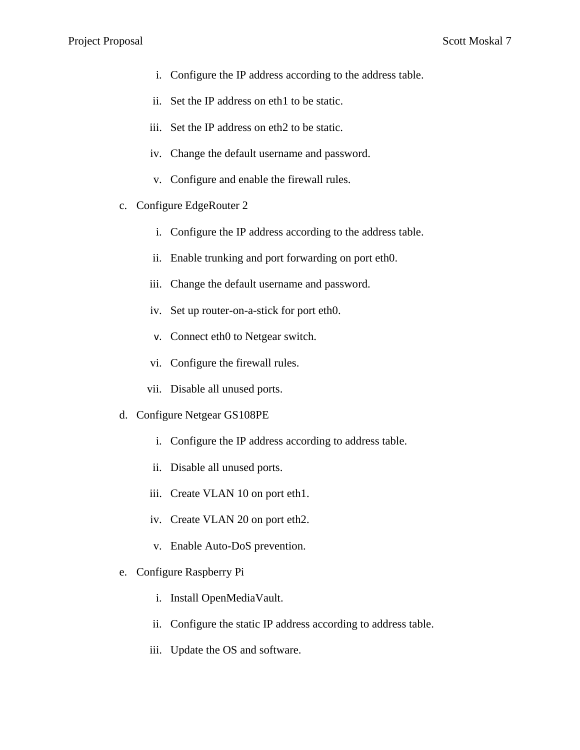- i. Configure the IP address according to the address table.
- ii. Set the IP address on eth1 to be static.
- iii. Set the IP address on eth2 to be static.
- iv. Change the default username and password.
- v. Configure and enable the firewall rules.
- c. Configure EdgeRouter 2
	- i. Configure the IP address according to the address table.
	- ii. Enable trunking and port forwarding on port eth0.
	- iii. Change the default username and password.
	- iv. Set up router-on-a-stick for port eth0.
	- v. Connect eth0 to Netgear switch.
	- vi. Configure the firewall rules.
	- vii. Disable all unused ports.
- d. Configure Netgear GS108PE
	- i. Configure the IP address according to address table.
	- ii. Disable all unused ports.
	- iii. Create VLAN 10 on port eth1.
	- iv. Create VLAN 20 on port eth2.
	- v. Enable Auto-DoS prevention.
- e. Configure Raspberry Pi
	- i. Install OpenMediaVault.
	- ii. Configure the static IP address according to address table.
	- iii. Update the OS and software.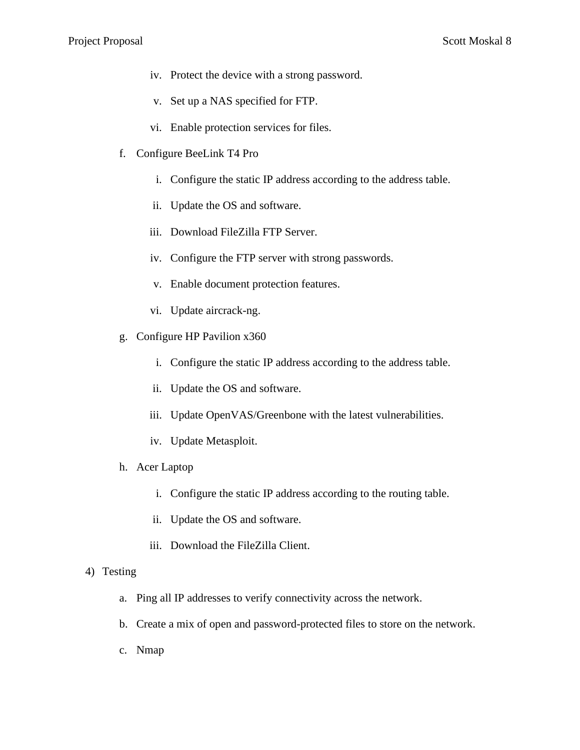- iv. Protect the device with a strong password.
- v. Set up a NAS specified for FTP.
- vi. Enable protection services for files.
- f. Configure BeeLink T4 Pro
	- i. Configure the static IP address according to the address table.
	- ii. Update the OS and software.
	- iii. Download FileZilla FTP Server.
	- iv. Configure the FTP server with strong passwords.
	- v. Enable document protection features.
	- vi. Update aircrack-ng.
- g. Configure HP Pavilion x360
	- i. Configure the static IP address according to the address table.
	- ii. Update the OS and software.
	- iii. Update OpenVAS/Greenbone with the latest vulnerabilities.
	- iv. Update Metasploit.
- h. Acer Laptop
	- i. Configure the static IP address according to the routing table.
	- ii. Update the OS and software.
	- iii. Download the FileZilla Client.

#### 4) Testing

- a. Ping all IP addresses to verify connectivity across the network.
- b. Create a mix of open and password-protected files to store on the network.
- c. Nmap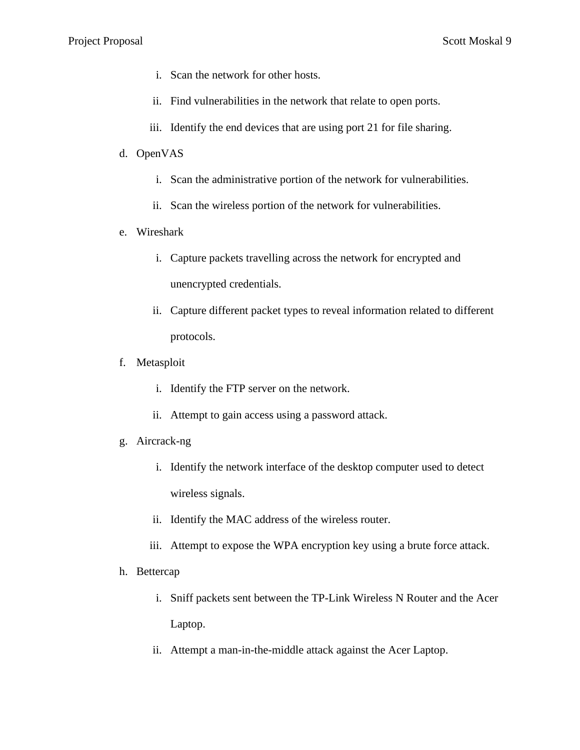- i. Scan the network for other hosts.
- ii. Find vulnerabilities in the network that relate to open ports.
- iii. Identify the end devices that are using port 21 for file sharing.
- d. OpenVAS
	- i. Scan the administrative portion of the network for vulnerabilities.
	- ii. Scan the wireless portion of the network for vulnerabilities.
- e. Wireshark
	- i. Capture packets travelling across the network for encrypted and unencrypted credentials.
	- ii. Capture different packet types to reveal information related to different protocols.
- f. Metasploit
	- i. Identify the FTP server on the network.
	- ii. Attempt to gain access using a password attack.
- g. Aircrack-ng
	- i. Identify the network interface of the desktop computer used to detect wireless signals.
	- ii. Identify the MAC address of the wireless router.
	- iii. Attempt to expose the WPA encryption key using a brute force attack.
- h. Bettercap
	- i. Sniff packets sent between the TP-Link Wireless N Router and the Acer Laptop.
	- ii. Attempt a man-in-the-middle attack against the Acer Laptop.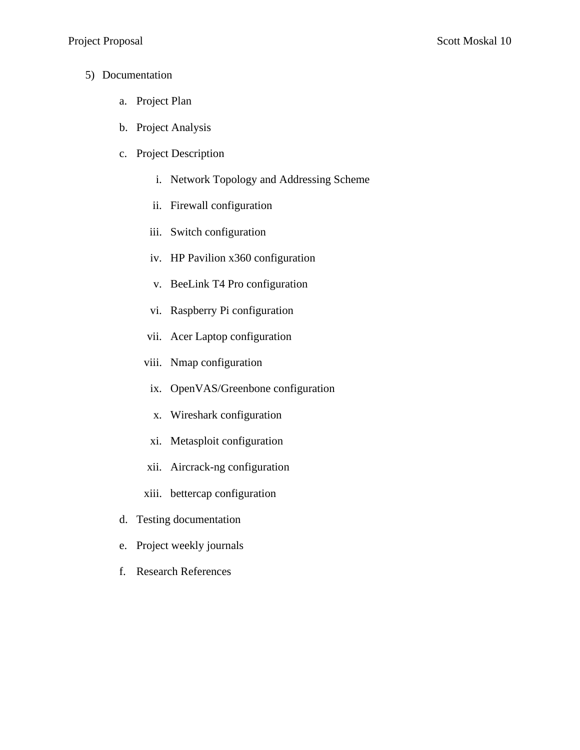- 5) Documentation
	- a. Project Plan
	- b. Project Analysis
	- c. Project Description
		- i. Network Topology and Addressing Scheme
		- ii. Firewall configuration
		- iii. Switch configuration
		- iv. HP Pavilion x360 configuration
		- v. BeeLink T4 Pro configuration
		- vi. Raspberry Pi configuration
		- vii. Acer Laptop configuration
		- viii. Nmap configuration
		- ix. OpenVAS/Greenbone configuration
		- x. Wireshark configuration
		- xi. Metasploit configuration
		- xii. Aircrack-ng configuration
		- xiii. bettercap configuration
	- d. Testing documentation
	- e. Project weekly journals
	- f. Research References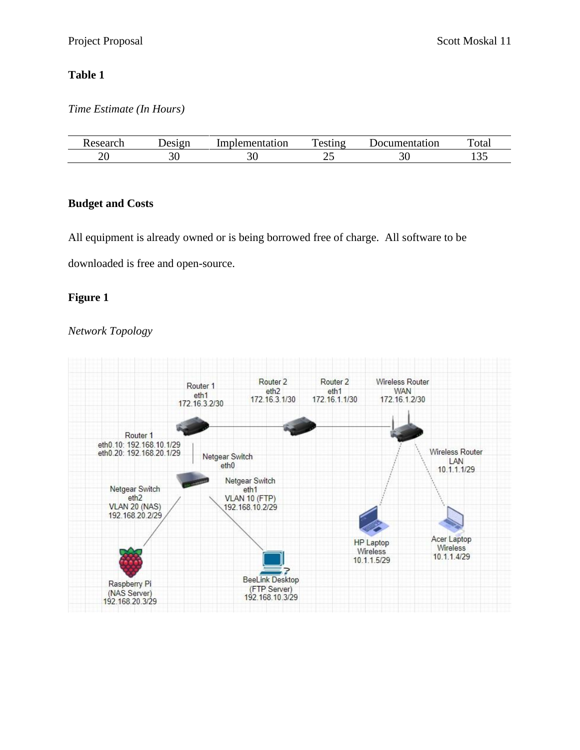# **Table 1**

# *Time Estimate (In Hours)*

| ACP | PQCDT | Implementation | —<br>$\sim$ $\sim$ $\sim$<br>. | 10011<br>tatıon<br>M | m<br>' ota. |
|-----|-------|----------------|--------------------------------|----------------------|-------------|
| ້   | υu    | ັບ             | ∼<br>__                        | ົ.<br>◡◡             | 1 J J       |

# **Budget and Costs**

All equipment is already owned or is being borrowed free of charge. All software to be

downloaded is free and open-source.

# **Figure 1**

# *Network Topology*